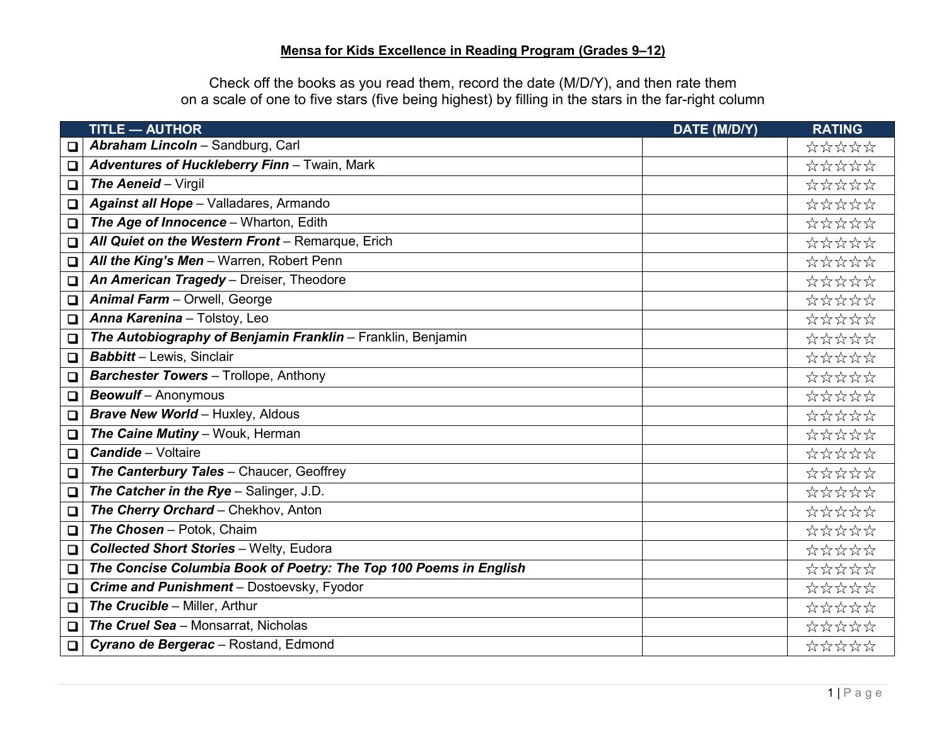Check off the books as you read them, record the date (M/D/Y), and then rate them on a scale of one to five stars (five being highest) by filling in the stars in the far-right column

|        | <b>TITLE - AUTHOR</b>                                             | DATE (M/D/Y) | <b>RATING</b> |
|--------|-------------------------------------------------------------------|--------------|---------------|
| ❏      | Abraham Lincoln - Sandburg, Carl                                  |              | *****         |
| $\Box$ | Adventures of Huckleberry Finn - Twain, Mark                      |              | *****         |
| $\Box$ | The Aeneid - Virgil                                               |              | *****         |
| $\Box$ | Against all Hope - Valladares, Armando                            |              | *****         |
| $\Box$ | The Age of Innocence - Wharton, Edith                             |              | *****         |
| $\Box$ | All Quiet on the Western Front - Remarque, Erich                  |              | *****         |
| $\Box$ | All the King's Men - Warren, Robert Penn                          |              | *****         |
| $\Box$ | An American Tragedy - Dreiser, Theodore                           |              | *****         |
| $\Box$ | Animal Farm - Orwell, George                                      |              | *****         |
| $\Box$ | Anna Karenina - Tolstoy, Leo                                      |              | *****         |
| $\Box$ | The Autobiography of Benjamin Franklin - Franklin, Benjamin       |              | *****         |
| $\Box$ | <b>Babbitt</b> - Lewis, Sinclair                                  |              | *****         |
| $\Box$ | <b>Barchester Towers</b> - Trollope, Anthony                      |              | *****         |
| $\Box$ | <b>Beowulf</b> - Anonymous                                        |              | *****         |
| $\Box$ | <b>Brave New World - Huxley, Aldous</b>                           |              | *****         |
| $\Box$ | The Caine Mutiny - Wouk, Herman                                   |              | *****         |
| $\Box$ | <b>Candide</b> - Voltaire                                         |              | *****         |
| $\Box$ | The Canterbury Tales - Chaucer, Geoffrey                          |              | *****         |
| $\Box$ | The Catcher in the Rye - Salinger, J.D.                           |              | *****         |
| $\Box$ | The Cherry Orchard - Chekhov, Anton                               |              | *****         |
| $\Box$ | The Chosen - Potok, Chaim                                         |              | *****         |
| $\Box$ | <b>Collected Short Stories - Welty, Eudora</b>                    |              | *****         |
| $\Box$ | The Concise Columbia Book of Poetry: The Top 100 Poems in English |              | *****         |
| $\Box$ | Crime and Punishment - Dostoevsky, Fyodor                         |              | *****         |
| $\Box$ | The Crucible - Miller, Arthur                                     |              | *****         |
| $\Box$ | The Cruel Sea - Monsarrat, Nicholas                               |              | *****         |
| $\Box$ | Cyrano de Bergerac - Rostand, Edmond                              |              | *****         |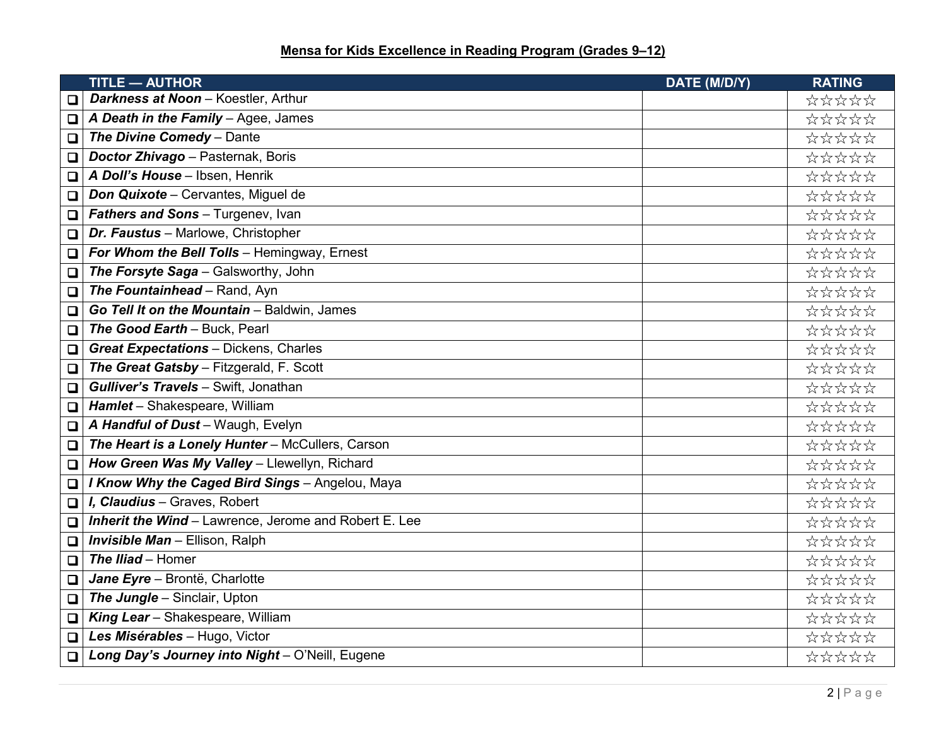|        | <b>TITLE - AUTHOR</b>                                        | DATE (M/D/Y) | <b>RATING</b> |
|--------|--------------------------------------------------------------|--------------|---------------|
| □      | Darkness at Noon - Koestler, Arthur                          |              | *****         |
| $\Box$ | A Death in the Family - Agee, James                          |              | *****         |
| O      | The Divine Comedy - Dante                                    |              | *****         |
| O      | Doctor Zhivago - Pasternak, Boris                            |              | *****         |
| O.     | A Doll's House - Ibsen, Henrik                               |              | *****         |
| O      | <b>Don Quixote - Cervantes, Miguel de</b>                    |              | *****         |
| $\Box$ | Fathers and Sons - Turgenev, Ivan                            |              | *****         |
| $\Box$ | Dr. Faustus - Marlowe, Christopher                           |              | *****         |
| $\Box$ | For Whom the Bell Tolls - Hemingway, Ernest                  |              | *****         |
| $\Box$ | The Forsyte Saga - Galsworthy, John                          |              | *****         |
| O      | The Fountainhead - Rand, Ayn                                 |              | *****         |
| О      | Go Tell It on the Mountain - Baldwin, James                  |              | *****         |
| $\Box$ | The Good Earth - Buck, Pearl                                 |              | *****         |
| $\Box$ | <b>Great Expectations - Dickens, Charles</b>                 |              | *****         |
| O      | The Great Gatsby - Fitzgerald, F. Scott                      |              | *****         |
| $\Box$ | Gulliver's Travels - Swift, Jonathan                         |              | *****         |
| $\Box$ | Hamlet - Shakespeare, William                                |              | *****         |
| $\Box$ | A Handful of Dust - Waugh, Evelyn                            |              | *****         |
| $\Box$ | The Heart is a Lonely Hunter - McCullers, Carson             |              | *****         |
| $\Box$ | How Green Was My Valley - Llewellyn, Richard                 |              | *****         |
| $\Box$ | I Know Why the Caged Bird Sings - Angelou, Maya              |              | *****         |
| O.     | I. Claudius - Graves, Robert                                 |              | *****         |
| O.     | <b>Inherit the Wind - Lawrence, Jerome and Robert E. Lee</b> |              | *****         |
| $\Box$ | <b>Invisible Man - Ellison, Ralph</b>                        |              | *****         |
| $\Box$ | The Iliad - Homer                                            |              | *****         |
| О      | Jane Eyre - Brontë, Charlotte                                |              | *****         |
| $\Box$ | The Jungle - Sinclair, Upton                                 |              | *****         |
| O,     | King Lear - Shakespeare, William                             |              | *****         |
| O.     | Les Misérables - Hugo, Victor                                |              | *****         |
| $\Box$ | Long Day's Journey into Night - O'Neill, Eugene              |              | *****         |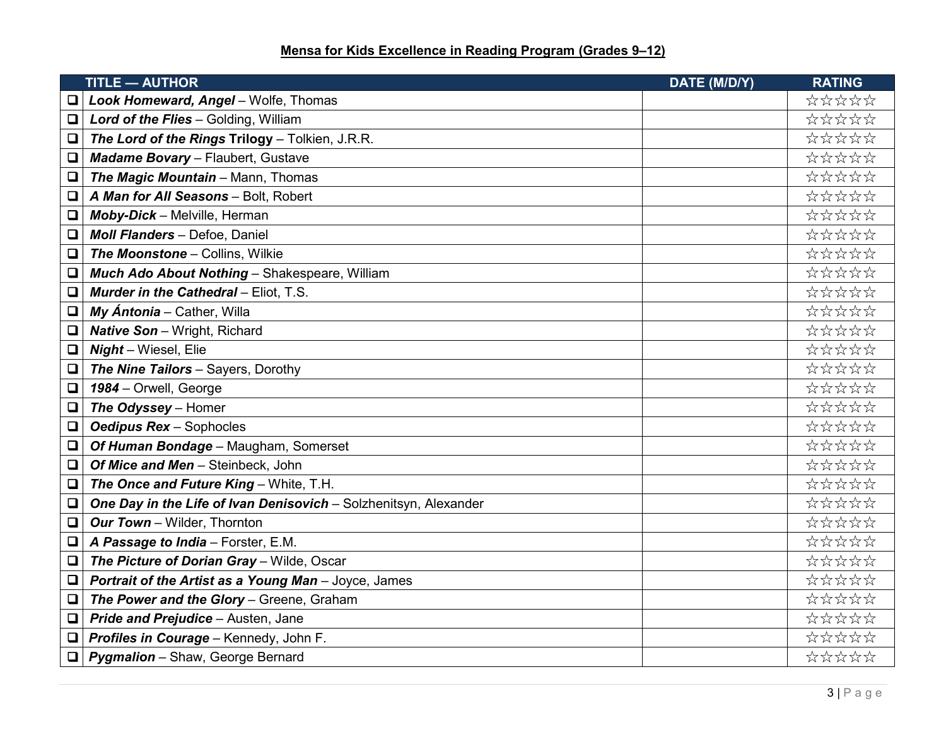|        | <b>TITLE - AUTHOR</b>                                            | DATE (M/D/Y) | <b>RATING</b> |
|--------|------------------------------------------------------------------|--------------|---------------|
| o      | Look Homeward, Angel - Wolfe, Thomas                             |              | *****         |
| O,     | Lord of the Flies - Golding, William                             |              | *****         |
| $\Box$ | The Lord of the Rings Trilogy - Tolkien, J.R.R.                  |              | *****         |
| O      | Madame Bovary - Flaubert, Gustave                                |              | *****         |
| $\Box$ | The Magic Mountain - Mann, Thomas                                |              | *****         |
| $\Box$ | A Man for All Seasons - Bolt, Robert                             |              | *****         |
| $\Box$ | Moby-Dick - Melville, Herman                                     |              | *****         |
| □      | Moll Flanders - Defoe, Daniel                                    |              | *****         |
| О      | The Moonstone - Collins, Wilkie                                  |              | *****         |
| $\Box$ | Much Ado About Nothing - Shakespeare, William                    |              | *****         |
| o      | <b>Murder in the Cathedral - Eliot, T.S.</b>                     |              | *****         |
| $\Box$ | My Ántonia - Cather, Willa                                       |              | *****         |
| $\Box$ | <b>Native Son</b> - Wright, Richard                              |              | *****         |
| О      | Night - Wiesel, Elie                                             |              | *****         |
| $\Box$ | The Nine Tailors - Sayers, Dorothy                               |              | *****         |
| O      | 1984 - Orwell, George                                            |              | *****         |
| $\Box$ | The Odyssey - Homer                                              |              | *****         |
| $\Box$ | <b>Oedipus Rex - Sophocles</b>                                   |              | *****         |
| $\Box$ | Of Human Bondage - Maugham, Somerset                             |              | *****         |
| О      | Of Mice and Men - Steinbeck, John                                |              | *****         |
| $\Box$ | The Once and Future King - White, T.H.                           |              | *****         |
| $\Box$ | One Day in the Life of Ivan Denisovich - Solzhenitsyn, Alexander |              | *****         |
| O      | Our Town - Wilder, Thornton                                      |              | *****         |
| $\Box$ | A Passage to India - Forster, E.M.                               |              | *****         |
| $\Box$ | The Picture of Dorian Gray - Wilde, Oscar                        |              | *****         |
| $\Box$ | Portrait of the Artist as a Young Man - Joyce, James             |              | *****         |
| $\Box$ | The Power and the Glory - Greene, Graham                         |              | *****         |
| O      | Pride and Prejudice - Austen, Jane                               |              | *****         |
| O      | Profiles in Courage - Kennedy, John F.                           |              | *****         |
| $\Box$ | <b>Pygmalion</b> - Shaw, George Bernard                          |              | *****         |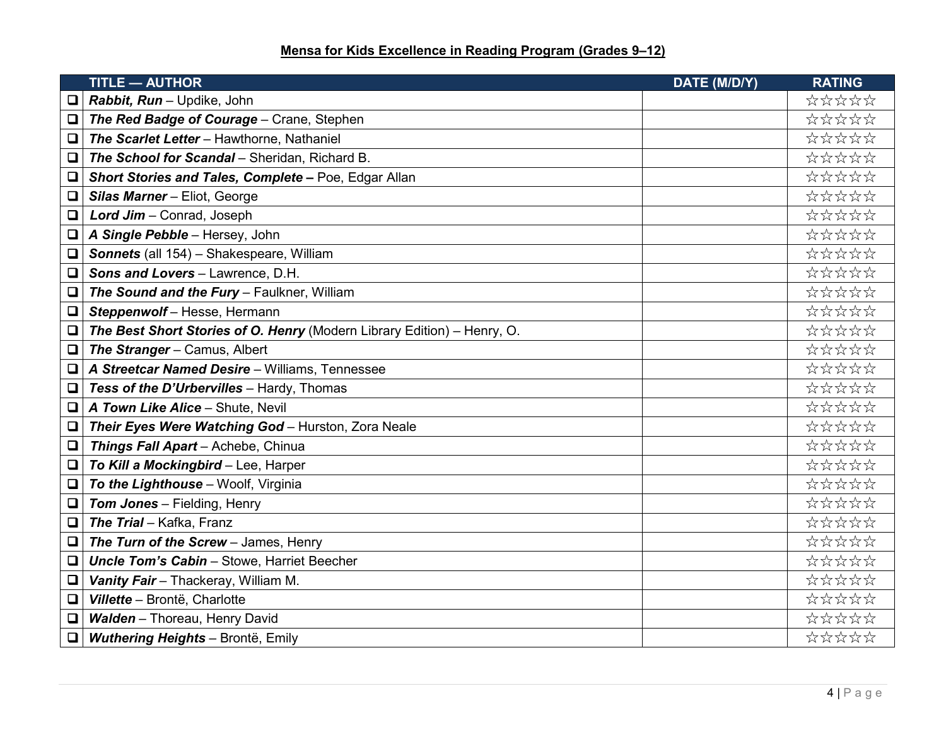|        | <b>TITLE - AUTHOR</b>                                                   | DATE (M/D/Y) | <b>RATING</b> |
|--------|-------------------------------------------------------------------------|--------------|---------------|
|        | Rabbit, Run - Updike, John                                              |              | *****         |
| $\Box$ | The Red Badge of Courage - Crane, Stephen                               |              | *****         |
| $\Box$ | The Scarlet Letter - Hawthorne, Nathaniel                               |              | *****         |
| $\Box$ | The School for Scandal - Sheridan, Richard B.                           |              | *****         |
| $\Box$ | Short Stories and Tales, Complete - Poe, Edgar Allan                    |              | *****         |
| $\Box$ | Silas Marner - Eliot, George                                            |              | *****         |
| Q      | Lord Jim - Conrad, Joseph                                               |              | *****         |
| Q      | A Single Pebble - Hersey, John                                          |              | *****         |
| $\Box$ | Sonnets (all 154) - Shakespeare, William                                |              | *****         |
| $\Box$ | Sons and Lovers - Lawrence, D.H.                                        |              | *****         |
| $\Box$ | The Sound and the Fury - Faulkner, William                              |              | *****         |
| $\Box$ | Steppenwolf-Hesse, Hermann                                              |              | *****         |
| □      | The Best Short Stories of O. Henry (Modern Library Edition) - Henry, O. |              | *****         |
| $\Box$ | The Stranger - Camus, Albert                                            |              | *****         |
| ロ      | A Streetcar Named Desire - Williams, Tennessee                          |              | *****         |
| $\Box$ | Tess of the D'Urbervilles - Hardy, Thomas                               |              | *****         |
| $\Box$ | A Town Like Alice - Shute, Nevil                                        |              | *****         |
| $\Box$ | Their Eyes Were Watching God - Hurston, Zora Neale                      |              | *****         |
| $\Box$ | Things Fall Apart - Achebe, Chinua                                      |              | *****         |
| $\Box$ | To Kill a Mockingbird - Lee, Harper                                     |              | *****         |
| $\Box$ | To the Lighthouse - Woolf, Virginia                                     |              | *****         |
| $\Box$ | Tom Jones - Fielding, Henry                                             |              | *****         |
| $\Box$ | The Trial - Kafka, Franz                                                |              | *****         |
| ❏      | The Turn of the Screw - James, Henry                                    |              | *****         |
| ❏      | <b>Uncle Tom's Cabin - Stowe, Harriet Beecher</b>                       |              | *****         |
| $\Box$ | Vanity Fair - Thackeray, William M.                                     |              | *****         |
| $\Box$ | Villette - Brontë, Charlotte                                            |              | *****         |
| $\Box$ | Walden - Thoreau, Henry David                                           |              | *****         |
| $\Box$ | <b>Wuthering Heights - Brontë, Emily</b>                                |              | *****         |